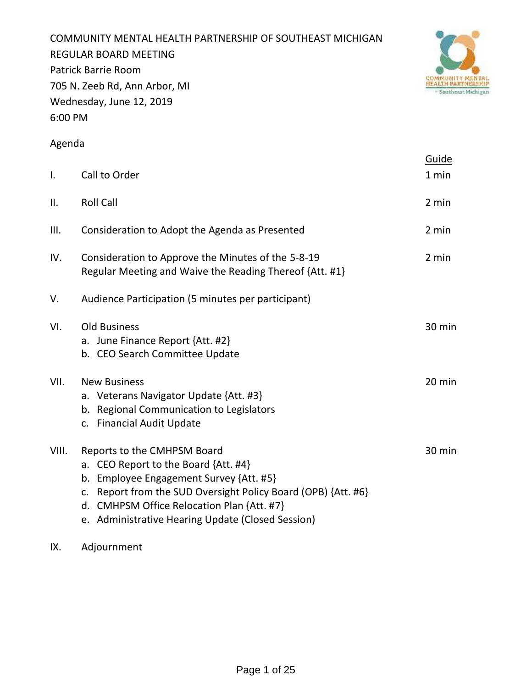COMMUNITY MENTAL HEALTH PARTNERSHIP OF SOUTHEAST MICHIGAN REGULAR BOARD MEETING Patrick Barrie Room 705 N. Zeeb Rd, Ann Arbor, MI Wednesday, June 12, 2019 6:00 PM



### Agenda

| $\mathsf{I}$ . | Call to Order                                                                                                                                                                                                                                                                            | Guide<br>1 min |
|----------------|------------------------------------------------------------------------------------------------------------------------------------------------------------------------------------------------------------------------------------------------------------------------------------------|----------------|
| II.            | <b>Roll Call</b>                                                                                                                                                                                                                                                                         | 2 min          |
| III.           | Consideration to Adopt the Agenda as Presented                                                                                                                                                                                                                                           | 2 min          |
| IV.            | Consideration to Approve the Minutes of the 5-8-19<br>Regular Meeting and Waive the Reading Thereof {Att. #1}                                                                                                                                                                            | 2 min          |
| V.             | Audience Participation (5 minutes per participant)                                                                                                                                                                                                                                       |                |
| VI.            | <b>Old Business</b><br>a. June Finance Report {Att. #2}<br>b. CEO Search Committee Update                                                                                                                                                                                                | 30 min         |
| VII.           | <b>New Business</b><br>a. Veterans Navigator Update {Att. #3}<br>b. Regional Communication to Legislators<br>c. Financial Audit Update                                                                                                                                                   | 20 min         |
| VIII.          | Reports to the CMHPSM Board<br>a. CEO Report to the Board {Att. #4}<br>Employee Engagement Survey {Att. #5}<br>b.<br>Report from the SUD Oversight Policy Board (OPB) {Att. #6}<br>c.<br>d. CMHPSM Office Relocation Plan {Att. #7}<br>e. Administrative Hearing Update (Closed Session) | 30 min         |

IX. Adjournment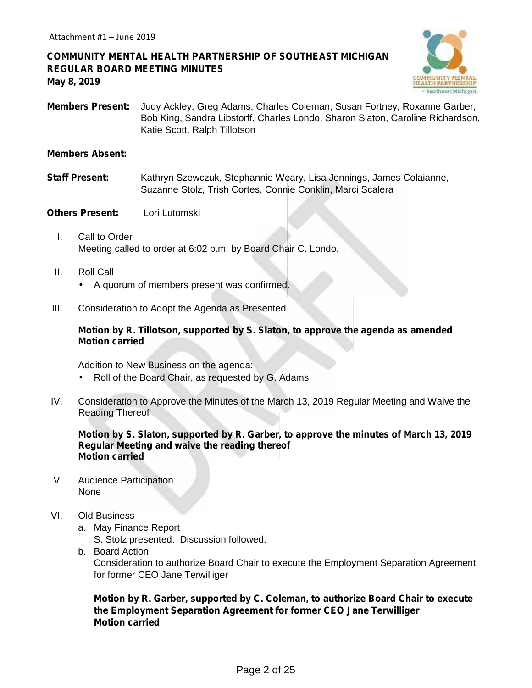### **COMMUNITY MENTAL HEALTH PARTNERSHIP OF SOUTHEAST MICHIGAN REGULAR BOARD MEETING MINUTES May 8, 2019**



**Members Present:** Judy Ackley, Greg Adams, Charles Coleman, Susan Fortney, Roxanne Garber, Bob King, Sandra Libstorff, Charles Londo, Sharon Slaton, Caroline Richardson, Katie Scott, Ralph Tillotson

#### **Members Absent:**

**Staff Present:** Kathryn Szewczuk, Stephannie Weary, Lisa Jennings, James Colaianne, Suzanne Stolz, Trish Cortes, Connie Conklin, Marci Scalera

#### **Others Present:** Lori Lutomski

- I. Call to Order Meeting called to order at 6:02 p.m. by Board Chair C. Londo.
- II. Roll Call A quorum of members present was confirmed.
- III. Consideration to Adopt the Agenda as Presented

#### **Motion by R. Tillotson, supported by S. Slaton, to approve the agenda as amended Motion carried**

Addition to New Business on the agenda: Roll of the Board Chair, as requested by G. Adams

IV. Consideration to Approve the Minutes of the March 13, 2019 Regular Meeting and Waive the Reading Thereof

#### **Motion by S. Slaton, supported by R. Garber, to approve the minutes of March 13, 2019 Regular Meeting and waive the reading thereof Motion carried**

V. Audience Participation None

#### VI. Old Business

- a. May Finance Report S. Stolz presented. Discussion followed.
- b. Board Action

Consideration to authorize Board Chair to execute the Employment Separation Agreement for former CEO Jane Terwilliger

#### **Motion by R. Garber, supported by C. Coleman, to authorize Board Chair to execute the Employment Separation Agreement for former CEO Jane Terwilliger Motion carried**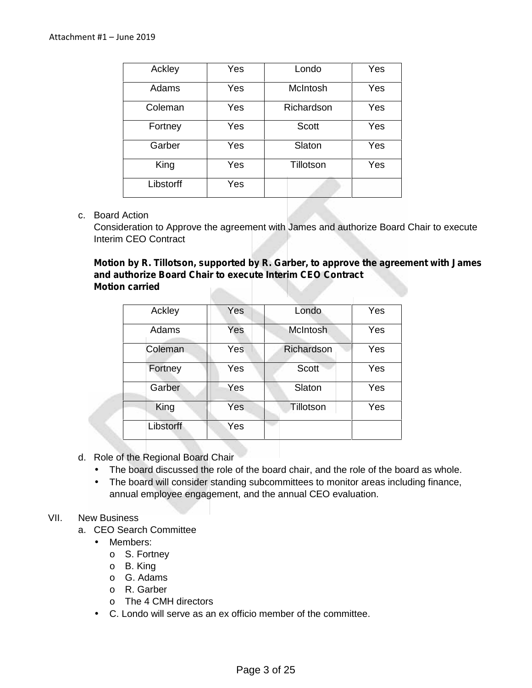| Ackley    | Yes | Londo        | Yes |
|-----------|-----|--------------|-----|
| Adams     | Yes | McIntosh     | Yes |
| Coleman   | Yes | Richardson   | Yes |
| Fortney   | Yes | <b>Scott</b> | Yes |
| Garber    | Yes | Slaton       | Yes |
| King      | Yes | Tillotson    | Yes |
| Libstorff | Yes |              |     |

#### c. Board Action

Consideration to Approve the agreement with James and authorize Board Chair to execute Interim CEO Contract

**Motion by R. Tillotson, supported by R. Garber, to approve the agreement with James and authorize Board Chair to execute Interim CEO Contract Motion carried**

| Ackley    | Yes | Londo           | Yes |
|-----------|-----|-----------------|-----|
|           |     |                 |     |
| Adams     | Yes | <b>McIntosh</b> | Yes |
|           |     |                 |     |
| Coleman   | Yes | Richardson      | Yes |
| Fortney   | Yes | Scott           | Yes |
|           |     |                 |     |
| Garber    | Yes | Slaton          | Yes |
|           |     |                 |     |
| King      | Yes | Tillotson       | Yes |
| Libstorff | Yes |                 |     |
|           |     |                 |     |

#### d. Role of the Regional Board Chair

- The board discussed the role of the board chair, and the role of the board as whole.<br>The board will consider standing subcommittees to monitor areas including finance,
- The board will consider standing subcommittees to monitor areas including finance, annual employee engagement, and the annual CEO evaluation.

#### VII. New Business

- a. CEO Search Committee
	- Members:
		- o S. Fortney
		- o B. King
		- o G. Adams
		- o R. Garber
		- o The 4 CMH directors
	- C. Londo will serve as an ex officio member of the committee.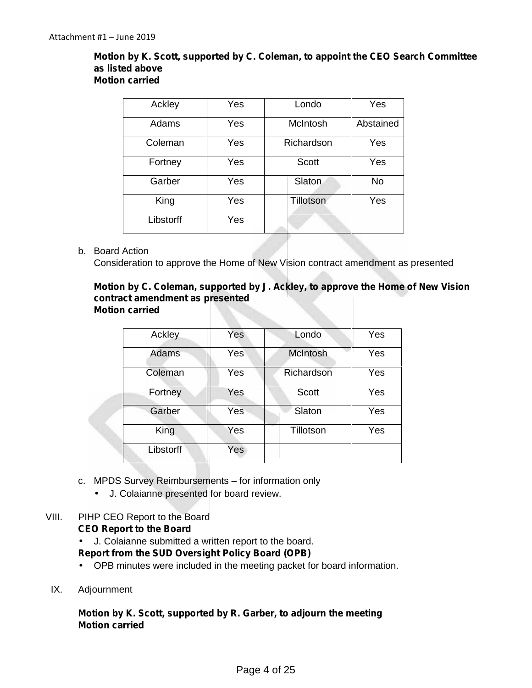#### **Motion by K. Scott, supported by C. Coleman, to appoint the CEO Search Committee as listed above Motion carried**

| Ackley    | Yes | Londo        | Yes       |
|-----------|-----|--------------|-----------|
| Adams     | Yes | McIntosh     | Abstained |
| Coleman   | Yes | Richardson   | Yes       |
| Fortney   | Yes | <b>Scott</b> | Yes       |
| Garber    | Yes | Slaton       | <b>No</b> |
| King      | Yes | Tillotson    | Yes       |
| Libstorff | Yes |              |           |

#### b. Board Action

Consideration to approve the Home of New Vision contract amendment as presented

#### **Motion by C. Coleman, supported by J. Ackley, to approve the Home of New Vision contract amendment as presented Motion carried**

| Ackley    | Yes | Londo           | Yes |
|-----------|-----|-----------------|-----|
| Adams     | Yes | <b>McIntosh</b> | Yes |
| Coleman   | Yes | Richardson      | Yes |
| Fortney   | Yes | <b>Scott</b>    | Yes |
| Garber    | Yes | Slaton          | Yes |
| King      | Yes | Tillotson       | Yes |
| Libstorff | Yes |                 |     |

- c. MPDS Survey Reimbursements for information only
	- J. Colaianne presented for board review.

#### VIII. PIHP CEO Report to the Board

#### **CEO Report to the Board**

J. Colaianne submitted a written report to the board.

#### **Report from the SUD Oversight Policy Board (OPB)**

- OPB minutes were included in the meeting packet for board information.
- IX. Adjournment

#### **Motion by K. Scott, supported by R. Garber, to adjourn the meeting Motion carried**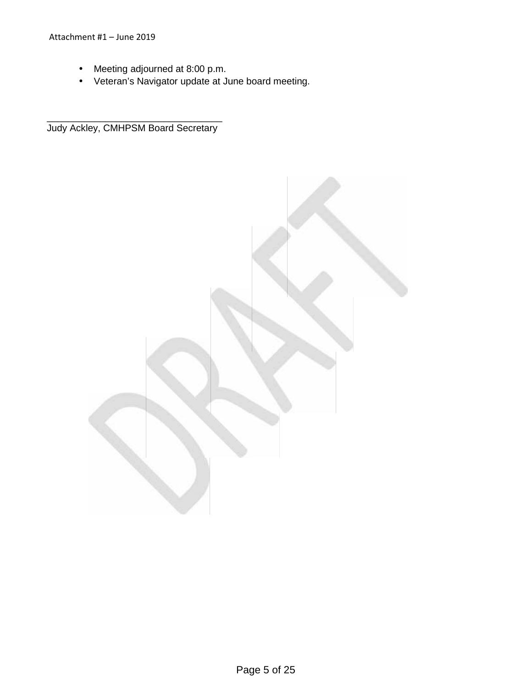Meeting adjourned at 8:00 p.m.

\_\_\_\_\_\_\_\_\_\_\_\_\_\_\_\_\_\_\_\_\_\_\_\_\_\_\_\_\_\_\_\_\_

Veteran's Navigator update at June board meeting.

Judy Ackley, CMHPSM Board Secretary

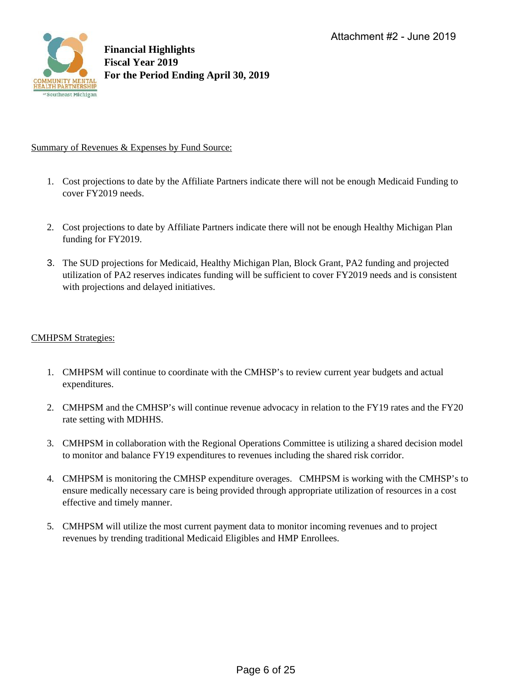

#### Summary of Revenues & Expenses by Fund Source:

- 1. Cost projections to date by the Affiliate Partners indicate there will not be enough Medicaid Funding to cover FY2019 needs.
- 2. Cost projections to date by Affiliate Partners indicate there will not be enough Healthy Michigan Plan funding for FY2019.
- 3. The SUD projections for Medicaid, Healthy Michigan Plan, Block Grant, PA2 funding and projected utilization of PA2 reserves indicates funding will be sufficient to cover FY2019 needs and is consistent with projections and delayed initiatives.

#### CMHPSM Strategies:

- 1. CMHPSM will continue to coordinate with the CMHSP's to review current year budgets and actual expenditures.
- 2. CMHPSM and the CMHSP's will continue revenue advocacy in relation to the FY19 rates and the FY20 rate setting with MDHHS.
- 3. CMHPSM in collaboration with the Regional Operations Committee is utilizing a shared decision model to monitor and balance FY19 expenditures to revenues including the shared risk corridor.
- 4. CMHPSM is monitoring the CMHSP expenditure overages. CMHPSM is working with the CMHSP's to ensure medically necessary care is being provided through appropriate utilization of resources in a cost effective and timely manner.
- 5. CMHPSM will utilize the most current payment data to monitor incoming revenues and to project revenues by trending traditional Medicaid Eligibles and HMP Enrollees.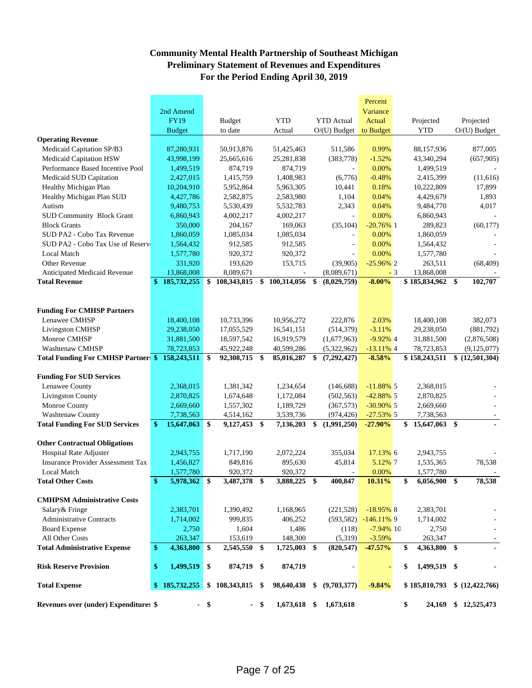#### **Community Mental Health Partnership of Southeast Michigan Preliminary Statement of Revenues and Expenditures For the Period Ending April 30, 2019**

|                                                 |               |               |        |                   |      |                |                     | Percent        |      |                    |                  |
|-------------------------------------------------|---------------|---------------|--------|-------------------|------|----------------|---------------------|----------------|------|--------------------|------------------|
|                                                 |               | 2nd Amend     |        |                   |      |                |                     | Variance       |      |                    |                  |
|                                                 |               | <b>FY19</b>   |        | <b>Budget</b>     |      | <b>YTD</b>     | <b>YTD</b> Actual   | Actual         |      | Projected          | Projected        |
|                                                 |               | <b>Budget</b> |        | to date           |      | Actual         | $O/(U)$ Budget      | to Budget      |      | <b>YTD</b>         | $O/(U)$ Budget   |
| <b>Operating Revenue</b>                        |               |               |        |                   |      |                |                     |                |      |                    |                  |
| Medicaid Capitation SP/B3                       |               | 87,280,931    |        | 50,913,876        |      | 51,425,463     | 511,586             | 0.99%          |      | 88,157,936         | 877,005          |
| Medicaid Capitation HSW                         |               | 43,998,199    |        | 25,665,616        |      | 25,281,838     | (383, 778)          | $-1.52%$       |      | 43,340,294         | (657,905)        |
| Performance Based Incentive Pool                |               | 1,499,519     |        | 874,719           |      | 874,719        |                     | 0.00%          |      | 1,499,519          |                  |
| Medicaid SUD Capitation                         |               | 2,427,015     |        | 1,415,759         |      | 1,408,983      | (6,776)             | $-0.48%$       |      | 2,415,399          | (11,616)         |
| Healthy Michigan Plan                           |               | 10,204,910    |        | 5,952,864         |      | 5,963,305      | 10,441              | 0.18%          |      | 10,222,809         | 17,899           |
| Healthy Michigan Plan SUD                       |               | 4,427,786     |        | 2,582,875         |      | 2,583,980      | 1,104               | 0.04%          |      | 4,429,679          | 1,893            |
| Autism                                          |               | 9,480,753     |        | 5,530,439         |      | 5,532,783      | 2,343               | 0.04%          |      | 9,484,770          | 4,017            |
| <b>SUD Community Block Grant</b>                |               | 6,860,943     |        | 4,002,217         |      | 4,002,217      |                     | 0.00%          |      | 6,860,943          |                  |
| <b>Block Grants</b>                             |               | 350,000       |        | 204,167           |      | 169,063        | (35, 104)           | $-20.76\%$ 1   |      | 289,823            | (60, 177)        |
| SUD PA2 - Cobo Tax Revenue                      |               | 1,860,059     |        | 1,085,034         |      | 1,085,034      |                     | 0.00%          |      | 1,860,059          |                  |
| SUD PA2 - Cobo Tax Use of Reserv                |               | 1,564,432     |        | 912,585           |      | 912,585        | ÷,                  | 0.00%          |      | 1,564,432          |                  |
| <b>Local Match</b>                              |               | 1,577,780     |        | 920,372           |      | 920,372        |                     | 0.00%          |      | 1,577,780          |                  |
| <b>Other Revenue</b>                            |               | 331,920       |        | 193,620           |      | 153,715        | (39,905)            | $-25.96\%$ 2   |      | 263,511            | (68, 409)        |
| Anticipated Medicaid Revenue                    |               | 13,868,008    |        | 8,089,671         |      |                | (8,089,671)         |                | $-3$ | 13,868,008         |                  |
| <b>Total Revenue</b>                            | $\mathbf{\$}$ | 185,732,255   | \$     | 108,343,815       | \$   | 100,314,056    | \$<br>(8,029,759)   | $-8.00%$       |      | \$185,834,962      | \$<br>102,707    |
| <b>Funding For CMHSP Partners</b>               |               |               |        |                   |      |                |                     |                |      |                    |                  |
| Lenawee CMHSP                                   |               | 18,400,108    |        | 10,733,396        |      | 10,956,272     | 222,876             | 2.03%          |      | 18,400,108         | 382,073          |
| <b>Livingston CMHSP</b>                         |               | 29,238,050    |        | 17,055,529        |      | 16,541,151     | (514, 379)          | $-3.11%$       |      | 29,238,050         | (881,792)        |
| Monroe CMHSP                                    |               | 31,881,500    |        | 18,597,542        |      | 16,919,579     | (1,677,963)         | $-9.92\%$ 4    |      | 31,881,500         | (2,876,508)      |
| Washtenaw CMHSP                                 |               | 78,723,853    |        | 45,922,248        |      | 40,599,286     | (5,322,962)         | $-13.11\%$ 4   |      | 78,723,853         | (9,125,077)      |
| Total Funding For CMHSP Partner: \$ 158,243,511 |               |               | \$     | 92,308,715 \$     |      | 85,016,287     | \$<br>(7, 292, 427) | $-8.58%$       |      | \$158,243,511      | \$(12,501,304)   |
|                                                 |               |               |        |                   |      |                |                     |                |      |                    |                  |
| <b>Funding For SUD Services</b>                 |               |               |        |                   |      |                |                     |                |      |                    |                  |
| Lenawee County                                  |               | 2,368,015     |        | 1,381,342         |      | 1,234,654      | (146,688)           | $-11.88\%$ 5   |      | 2,368,015          |                  |
| <b>Livingston County</b>                        |               | 2,870,825     |        | 1,674,648         |      | 1,172,084      | (502, 563)          | $-42.88\%$ 5   |      | 2,870,825          |                  |
| Monroe County                                   |               | 2,669,660     |        | 1,557,302         |      | 1,189,729      | (367,573)           | $-30.90\%$ 5   |      | 2,669,660          |                  |
| Washtenaw County                                |               | 7,738,563     |        | 4,514,162         |      | 3,539,736      | (974, 426)          | $-27.53\%$ 5   |      | 7,738,563          |                  |
| <b>Total Funding For SUD Services</b>           | \$            | 15,647,063    | \$     | 9,127,453 \$      |      | 7,136,203      | \$<br>(1,991,250)   | $-27.90%$      |      | 15,647,063 \$      |                  |
|                                                 |               |               |        |                   |      |                |                     |                |      |                    |                  |
| <b>Other Contractual Obligations</b>            |               |               |        |                   |      |                |                     |                |      |                    |                  |
| <b>Hospital Rate Adjuster</b>                   |               | 2,943,755     |        | 1,717,190         |      | 2,072,224      | 355,034             | 17.13% 6       |      | 2,943,755          |                  |
| <b>Insurance Provider Assessment Tax</b>        |               | 1,456,827     |        | 849,816           |      | 895,630        | 45,814              | 5.12% 7        |      | 1,535,365          | 78,538           |
| <b>Local Match</b>                              |               | 1,577,780     |        | 920,372           |      | 920,372        |                     | 0.00%          |      | 1,577,780          |                  |
| <b>Total Other Costs</b>                        | \$            | 5,978,362 \$  |        | 3,487,378         | \$   | 3,888,225      | \$<br>400,847       | 10.31%         |      | \$<br>6,056,900    | \$<br>78,538     |
| <b>CMHPSM Administrative Costs</b>              |               |               |        |                   |      |                |                     |                |      |                    |                  |
|                                                 |               |               |        |                   |      |                |                     | $-18.95\%$ 8   |      |                    |                  |
| Salary & Fringe                                 |               | 2,383,701     |        | 1,390,492         |      | 1,168,965      | (221, 528)          |                |      | 2,383,701          |                  |
| <b>Administrative Contracts</b>                 |               | 1,714,002     |        | 999.835           |      | 406,252        | (593, 582)          | $-146.11\%$ 9  |      | 1,714,002          |                  |
| <b>Board Expense</b>                            |               | 2,750         |        | 1,604             |      | 1,486          | (118)               | $-7.94\%$ 10   |      | 2,750              |                  |
| All Other Costs                                 |               | 263,347       |        | 153,619           |      | 148,300        | (5,319)             | $-3.59%$       |      | 263,347            |                  |
| <b>Total Administrative Expense</b>             | $\mathbf{\$}$ | 4,363,800     | \$     | 2,545,550         | \$   | 1,725,003      | \$<br>(820, 547)    | $-47.57%$      |      | 4,363,800 \$<br>\$ |                  |
| <b>Risk Reserve Provision</b>                   | \$            | 1,499,519     | \$     | 874,719 \$        |      | 874,719        |                     | $\blacksquare$ |      | \$<br>1,499,519 \$ |                  |
| <b>Total Expense</b>                            |               | \$185,732,255 |        | $$108,343,815$ \$ |      | 98,640,438     | \$<br>(9,703,377)   | $-9.84%$       |      | \$185,810,793      | \$(12, 422, 766) |
| Revenues over (under) Expenditures \$           |               |               | $-$ \$ |                   | - \$ | $1,673,618$ \$ | 1,673,618           |                |      | \$<br>24,169       | \$12,525,473     |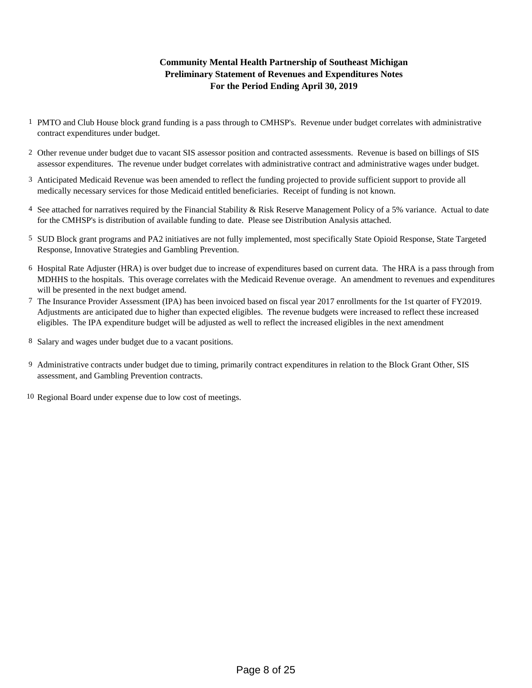#### **For the Period Ending April 30, 2019 Community Mental Health Partnership of Southeast Michigan Preliminary Statement of Revenues and Expenditures Notes**

- 1 PMTO and Club House block grand funding is a pass through to CMHSP's. Revenue under budget correlates with administrative contract expenditures under budget.
- 2 Other revenue under budget due to vacant SIS assessor position and contracted assessments. Revenue is based on billings of SIS assessor expenditures. The revenue under budget correlates with administrative contract and administrative wages under budget.
- 3 Anticipated Medicaid Revenue was been amended to reflect the funding projected to provide sufficient support to provide all medically necessary services for those Medicaid entitled beneficiaries. Receipt of funding is not known.
- 4 See attached for narratives required by the Financial Stability & Risk Reserve Management Policy of a 5% variance. Actual to date for the CMHSP's is distribution of available funding to date. Please see Distribution Analysis attached.
- 5 SUD Block grant programs and PA2 initiatives are not fully implemented, most specifically State Opioid Response, State Targeted Response, Innovative Strategies and Gambling Prevention.
- 6 Hospital Rate Adjuster (HRA) is over budget due to increase of expenditures based on current data. The HRA is a pass through from MDHHS to the hospitals. This overage correlates with the Medicaid Revenue overage. An amendment to revenues and expenditures will be presented in the next budget amend.
- 7 The Insurance Provider Assessment (IPA) has been invoiced based on fiscal year 2017 enrollments for the 1st quarter of FY2019. Adjustments are anticipated due to higher than expected eligibles. The revenue budgets were increased to reflect these increased eligibles. The IPA expenditure budget will be adjusted as well to reflect the increased eligibles in the next amendment
- 8 Salary and wages under budget due to a vacant positions.
- 9 Administrative contracts under budget due to timing, primarily contract expenditures in relation to the Block Grant Other, SIS assessment, and Gambling Prevention contracts.
- 10 Regional Board under expense due to low cost of meetings.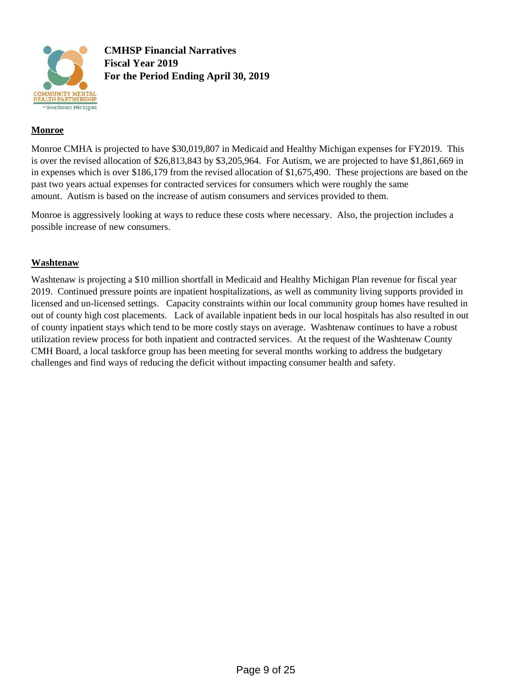

**CMHSP Financial Narratives Fiscal Year 2019 For the Period Ending April 30, 2019**

#### **Monroe**

Monroe CMHA is projected to have \$30,019,807 in Medicaid and Healthy Michigan expenses for FY2019. This is over the revised allocation of \$26,813,843 by \$3,205,964. For Autism, we are projected to have \$1,861,669 in in expenses which is over \$186,179 from the revised allocation of \$1,675,490. These projections are based on the past two years actual expenses for contracted services for consumers which were roughly the same amount. Autism is based on the increase of autism consumers and services provided to them.

Monroe is aggressively looking at ways to reduce these costs where necessary. Also, the projection includes a possible increase of new consumers.

#### **Washtenaw**

Washtenaw is projecting a \$10 million shortfall in Medicaid and Healthy Michigan Plan revenue for fiscal year 2019. Continued pressure points are inpatient hospitalizations, as well as community living supports provided in licensed and un-licensed settings. Capacity constraints within our local community group homes have resulted in out of county high cost placements. Lack of available inpatient beds in our local hospitals has also resulted in out of county inpatient stays which tend to be more costly stays on average. Washtenaw continues to have a robust utilization review process for both inpatient and contracted services. At the request of the Washtenaw County CMH Board, a local taskforce group has been meeting for several months working to address the budgetary challenges and find ways of reducing the deficit without impacting consumer health and safety.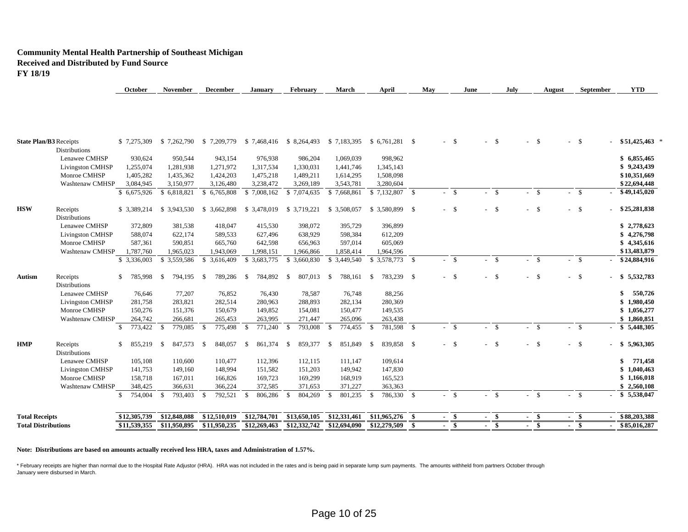#### **Community Mental Health Partnership of Southeast Michigan Received and Distributed by Fund Source FY 18/19**

| 588,074<br>587.361<br>1,787,760<br>\$ 3,336,003<br>785,998<br>76,646<br>281,758<br>150,276<br>264,742<br>773,422<br>855,219<br>105,108<br>141,753<br>158,718<br>348,425<br>754,004 | 622,174<br>590,851<br>1,965,023<br>\$3,559,586<br><sup>\$</sup><br>794,195<br>77,207<br>283,821<br>151,376<br>266,681<br>779,085<br>- \$<br>847,573<br>-S<br>110,600<br>149,160<br>167,011<br>366,631<br><sup>\$</sup><br>793,403 | 589,533<br>665,760<br>1.943.069<br>\$ 3,616,409<br>789,286<br>- \$<br>76,852<br>282,514<br>150,679<br>265,453<br>- \$<br>775,498<br>848,057<br>- \$<br>110,477<br>148,994<br>166,826<br>366,224<br>792,521<br>- \$ | 627.496<br>642,598<br>1.998.151<br>\$ 3,683,775<br>784,892<br>- \$<br>76,430<br>280,963<br>149,852<br>263,995<br>- \$<br>771,240<br>861,374<br>-S<br>112,396<br>151,582<br>169,723<br>372,585<br>- \$<br>806,286 | 656,963<br>1,966,866<br>\$ 3,660,830<br>807,013<br>- \$<br>78,587<br>288,893<br>154,081<br>271,447<br>793,008<br>- \$<br>859,377<br>-\$<br>112,115<br>151,203<br>169,299<br>371,653<br>S.<br>804,269 | 597,014<br>1,858,414<br>\$ 3,449,540<br>788,161 \$<br>- \$<br>76,748<br>282,134<br>150,477<br>265,096<br>-\$<br>774,455<br>851.849<br>-S<br>111,147<br>149,942<br>168,919<br>371,227<br>801,235<br>-S | 605,069<br>1,964,596<br>$$3,578,773$ \;<br>783,239 \$<br>88,256<br>280,369<br>149,535<br>263,438<br>$\mathbf{s}$<br>781,598 \$<br>839,858 \$<br><b>S</b><br>109,614<br>147,830<br>165,523<br>363,363<br>$\mathbf{s}$<br>786,330 | \$<br>$-$ \$<br>$-$ \$<br>$-5$<br>$-$ \$<br>$-$ \$                                                         | <b>S</b><br>- \$<br>$-5$<br>$\mathbf{s}$<br>- \$ | $-$ \$<br>- \$<br>$-$ \$<br>$-$ \$<br>- \$<br>$\sim$ | $-$ \$<br>- \$<br>$-$ \$<br>$-$ \$<br>$-$ \$ | \$4,345,616<br>\$13,483,879<br>\$24,884,916<br>\$5,532,783<br>\$<br>550,726<br>1,980,450<br>\$<br>\$1,056,277<br>\$1,860,851<br>$-$ \$ 5,448,305<br>\$5,963,305<br>771,458<br>\$<br>1,040,463<br>\$1,166,018<br>\$2,560,108<br>\$5,538,047 |
|------------------------------------------------------------------------------------------------------------------------------------------------------------------------------------|-----------------------------------------------------------------------------------------------------------------------------------------------------------------------------------------------------------------------------------|--------------------------------------------------------------------------------------------------------------------------------------------------------------------------------------------------------------------|------------------------------------------------------------------------------------------------------------------------------------------------------------------------------------------------------------------|------------------------------------------------------------------------------------------------------------------------------------------------------------------------------------------------------|-------------------------------------------------------------------------------------------------------------------------------------------------------------------------------------------------------|---------------------------------------------------------------------------------------------------------------------------------------------------------------------------------------------------------------------------------|------------------------------------------------------------------------------------------------------------|--------------------------------------------------|------------------------------------------------------|----------------------------------------------|--------------------------------------------------------------------------------------------------------------------------------------------------------------------------------------------------------------------------------------------|
|                                                                                                                                                                                    |                                                                                                                                                                                                                                   |                                                                                                                                                                                                                    |                                                                                                                                                                                                                  |                                                                                                                                                                                                      |                                                                                                                                                                                                       |                                                                                                                                                                                                                                 |                                                                                                            |                                                  |                                                      |                                              |                                                                                                                                                                                                                                            |
|                                                                                                                                                                                    |                                                                                                                                                                                                                                   |                                                                                                                                                                                                                    |                                                                                                                                                                                                                  |                                                                                                                                                                                                      |                                                                                                                                                                                                       |                                                                                                                                                                                                                                 |                                                                                                            |                                                  |                                                      |                                              |                                                                                                                                                                                                                                            |
|                                                                                                                                                                                    |                                                                                                                                                                                                                                   |                                                                                                                                                                                                                    |                                                                                                                                                                                                                  |                                                                                                                                                                                                      |                                                                                                                                                                                                       |                                                                                                                                                                                                                                 |                                                                                                            |                                                  |                                                      |                                              |                                                                                                                                                                                                                                            |
|                                                                                                                                                                                    |                                                                                                                                                                                                                                   |                                                                                                                                                                                                                    |                                                                                                                                                                                                                  |                                                                                                                                                                                                      |                                                                                                                                                                                                       |                                                                                                                                                                                                                                 |                                                                                                            |                                                  |                                                      |                                              |                                                                                                                                                                                                                                            |
|                                                                                                                                                                                    |                                                                                                                                                                                                                                   |                                                                                                                                                                                                                    |                                                                                                                                                                                                                  |                                                                                                                                                                                                      |                                                                                                                                                                                                       |                                                                                                                                                                                                                                 |                                                                                                            |                                                  |                                                      |                                              |                                                                                                                                                                                                                                            |
|                                                                                                                                                                                    |                                                                                                                                                                                                                                   |                                                                                                                                                                                                                    |                                                                                                                                                                                                                  |                                                                                                                                                                                                      |                                                                                                                                                                                                       |                                                                                                                                                                                                                                 |                                                                                                            |                                                  |                                                      |                                              |                                                                                                                                                                                                                                            |
|                                                                                                                                                                                    |                                                                                                                                                                                                                                   |                                                                                                                                                                                                                    |                                                                                                                                                                                                                  |                                                                                                                                                                                                      |                                                                                                                                                                                                       |                                                                                                                                                                                                                                 |                                                                                                            |                                                  |                                                      |                                              |                                                                                                                                                                                                                                            |
|                                                                                                                                                                                    |                                                                                                                                                                                                                                   |                                                                                                                                                                                                                    |                                                                                                                                                                                                                  |                                                                                                                                                                                                      |                                                                                                                                                                                                       |                                                                                                                                                                                                                                 |                                                                                                            |                                                  |                                                      |                                              |                                                                                                                                                                                                                                            |
|                                                                                                                                                                                    |                                                                                                                                                                                                                                   |                                                                                                                                                                                                                    |                                                                                                                                                                                                                  |                                                                                                                                                                                                      |                                                                                                                                                                                                       |                                                                                                                                                                                                                                 |                                                                                                            |                                                  |                                                      |                                              |                                                                                                                                                                                                                                            |
|                                                                                                                                                                                    |                                                                                                                                                                                                                                   |                                                                                                                                                                                                                    |                                                                                                                                                                                                                  |                                                                                                                                                                                                      |                                                                                                                                                                                                       |                                                                                                                                                                                                                                 |                                                                                                            |                                                  |                                                      |                                              |                                                                                                                                                                                                                                            |
|                                                                                                                                                                                    |                                                                                                                                                                                                                                   |                                                                                                                                                                                                                    |                                                                                                                                                                                                                  |                                                                                                                                                                                                      |                                                                                                                                                                                                       |                                                                                                                                                                                                                                 |                                                                                                            |                                                  |                                                      |                                              |                                                                                                                                                                                                                                            |
|                                                                                                                                                                                    |                                                                                                                                                                                                                                   |                                                                                                                                                                                                                    |                                                                                                                                                                                                                  |                                                                                                                                                                                                      |                                                                                                                                                                                                       |                                                                                                                                                                                                                                 |                                                                                                            |                                                  |                                                      |                                              |                                                                                                                                                                                                                                            |
|                                                                                                                                                                                    |                                                                                                                                                                                                                                   |                                                                                                                                                                                                                    |                                                                                                                                                                                                                  |                                                                                                                                                                                                      |                                                                                                                                                                                                       |                                                                                                                                                                                                                                 |                                                                                                            |                                                  |                                                      |                                              |                                                                                                                                                                                                                                            |
|                                                                                                                                                                                    |                                                                                                                                                                                                                                   |                                                                                                                                                                                                                    |                                                                                                                                                                                                                  |                                                                                                                                                                                                      |                                                                                                                                                                                                       |                                                                                                                                                                                                                                 |                                                                                                            |                                                  |                                                      |                                              |                                                                                                                                                                                                                                            |
|                                                                                                                                                                                    |                                                                                                                                                                                                                                   |                                                                                                                                                                                                                    |                                                                                                                                                                                                                  |                                                                                                                                                                                                      |                                                                                                                                                                                                       |                                                                                                                                                                                                                                 |                                                                                                            |                                                  |                                                      |                                              |                                                                                                                                                                                                                                            |
|                                                                                                                                                                                    |                                                                                                                                                                                                                                   |                                                                                                                                                                                                                    |                                                                                                                                                                                                                  |                                                                                                                                                                                                      |                                                                                                                                                                                                       |                                                                                                                                                                                                                                 |                                                                                                            |                                                  |                                                      |                                              |                                                                                                                                                                                                                                            |
|                                                                                                                                                                                    |                                                                                                                                                                                                                                   |                                                                                                                                                                                                                    |                                                                                                                                                                                                                  | 638,929                                                                                                                                                                                              | 598,384                                                                                                                                                                                               | 612,209                                                                                                                                                                                                                         |                                                                                                            |                                                  |                                                      |                                              | \$4,276,798                                                                                                                                                                                                                                |
| 372,809                                                                                                                                                                            | 381,538                                                                                                                                                                                                                           | 418,047                                                                                                                                                                                                            | 415,530                                                                                                                                                                                                          | 398,072                                                                                                                                                                                              | 395,729                                                                                                                                                                                               | 396,899                                                                                                                                                                                                                         |                                                                                                            |                                                  |                                                      |                                              | \$2,778,623                                                                                                                                                                                                                                |
| \$3,389,214                                                                                                                                                                        |                                                                                                                                                                                                                                   |                                                                                                                                                                                                                    | \$ 3,478,019                                                                                                                                                                                                     | \$ 3,719,221                                                                                                                                                                                         | \$ 3,508,057                                                                                                                                                                                          |                                                                                                                                                                                                                                 | $-$ \$                                                                                                     | - \$                                             | - \$                                                 | $-5$                                         | \$25,281,838                                                                                                                                                                                                                               |
| \$6,675,926                                                                                                                                                                        |                                                                                                                                                                                                                                   |                                                                                                                                                                                                                    | \$7,008,162                                                                                                                                                                                                      | \$7,074,635                                                                                                                                                                                          | \$7,668,861                                                                                                                                                                                           |                                                                                                                                                                                                                                 | $-$ \$                                                                                                     | - \$                                             | $-$ \$                                               | $-$ \$                                       | \$49,145,020                                                                                                                                                                                                                               |
| 3,084,945                                                                                                                                                                          |                                                                                                                                                                                                                                   | 3,126,480                                                                                                                                                                                                          | 3,238,472                                                                                                                                                                                                        | 3,269,189                                                                                                                                                                                            | 3,543,781                                                                                                                                                                                             | 3,280,604                                                                                                                                                                                                                       |                                                                                                            |                                                  |                                                      |                                              | \$22,694,448                                                                                                                                                                                                                               |
| 1,405,282                                                                                                                                                                          |                                                                                                                                                                                                                                   | 1,424,203                                                                                                                                                                                                          | 1,475,218                                                                                                                                                                                                        | 1,489,211                                                                                                                                                                                            | 1,614,295                                                                                                                                                                                             | 1,508,098                                                                                                                                                                                                                       |                                                                                                            |                                                  |                                                      |                                              | \$10,351,669                                                                                                                                                                                                                               |
| 1,255,074                                                                                                                                                                          |                                                                                                                                                                                                                                   | 1,271,972                                                                                                                                                                                                          | 1,317,534                                                                                                                                                                                                        | 1,330,031                                                                                                                                                                                            | 1,441,746                                                                                                                                                                                             | 1,345,143                                                                                                                                                                                                                       |                                                                                                            |                                                  |                                                      |                                              | \$9,243,439                                                                                                                                                                                                                                |
|                                                                                                                                                                                    |                                                                                                                                                                                                                                   |                                                                                                                                                                                                                    |                                                                                                                                                                                                                  |                                                                                                                                                                                                      |                                                                                                                                                                                                       | 998,962                                                                                                                                                                                                                         |                                                                                                            |                                                  |                                                      |                                              | \$6,855,465                                                                                                                                                                                                                                |
|                                                                                                                                                                                    |                                                                                                                                                                                                                                   |                                                                                                                                                                                                                    |                                                                                                                                                                                                                  |                                                                                                                                                                                                      |                                                                                                                                                                                                       |                                                                                                                                                                                                                                 |                                                                                                            |                                                  |                                                      |                                              | $$51,425,463$ *                                                                                                                                                                                                                            |
|                                                                                                                                                                                    | \$7,275,309<br>930,624                                                                                                                                                                                                            | 950,544<br>1,281,938<br>1,435,362<br>3,150,977<br>\$6,818,821                                                                                                                                                      | \$7,262,790<br>943,154<br>\$3,943,530                                                                                                                                                                            | 976,938<br>\$6,765,808<br>\$3,662,898                                                                                                                                                                | 986,204                                                                                                                                                                                               | 1,069,039                                                                                                                                                                                                                       | \$ 7,209,779 \$ 7,468,416 \$ 8,264,493 \$ 7,183,395 \$ 6,761,281 \$<br>$$7,132,807$ \ \$<br>\$3,580,899 \$ | $-$ \$                                           | - \$                                                 | $-5$                                         | $-$ \$                                                                                                                                                                                                                                     |

**October November December January February March April May June July August September YTD**

#### **Note: Distributions are based on amounts actually received less HRA, taxes and Administration of 1.57%.**

\* February receipts are higher than normal due to the Hospital Rate Adjustor (HRA). HRA was not included in the rates and is being paid in separate lump sum payments. The amounts withheld from partners October through January were disbursed in March.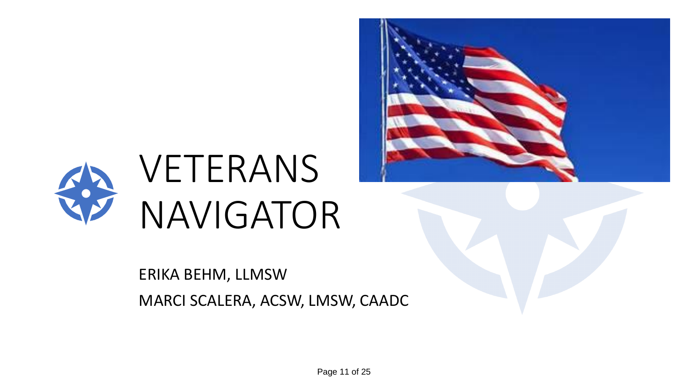



## ERIKA BEHM, LLMSW MARCI SCALERA, ACSW, LMSW, CAADC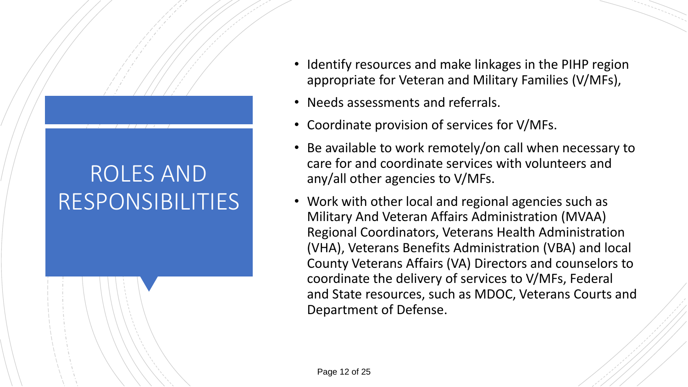## ROLES AND RESPONSIBILITIES

- Identify resources and make linkages in the PIHP region appropriate for Veteran and Military Families (V/MFs),
- Needs assessments and referrals.
- Coordinate provision of services for V/MFs.
- Be available to work remotely/on call when necessary to care for and coordinate services with volunteers and any/all other agencies to V/MFs.
- Work with other local and regional agencies such as Military And Veteran Affairs Administration (MVAA) Regional Coordinators, Veterans Health Administration (VHA), Veterans Benefits Administration (VBA) and local County Veterans Affairs (VA) Directors and counselors to coordinate the delivery of services to V/MFs, Federal and State resources, such as MDOC, Veterans Courts and Department of Defense.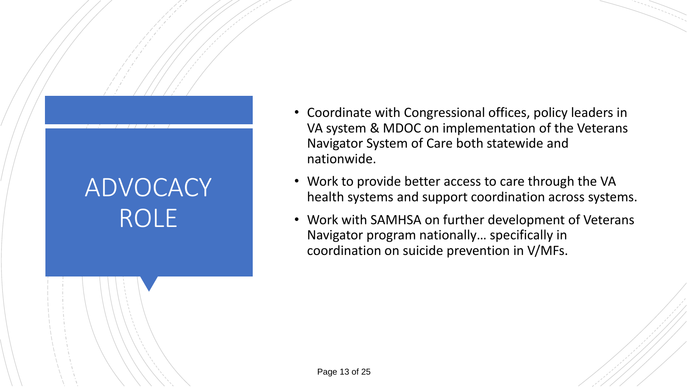## ADVOCACY ROLE

- Coordinate with Congressional offices, policy leaders in VA system & MDOC on implementation of the Veterans Navigator System of Care both statewide and nationwide.
- Work to provide better access to care through the VA health systems and support coordination across systems.
- Work with SAMHSA on further development of Veterans Navigator program nationally… specifically in coordination on suicide prevention in V/MFs.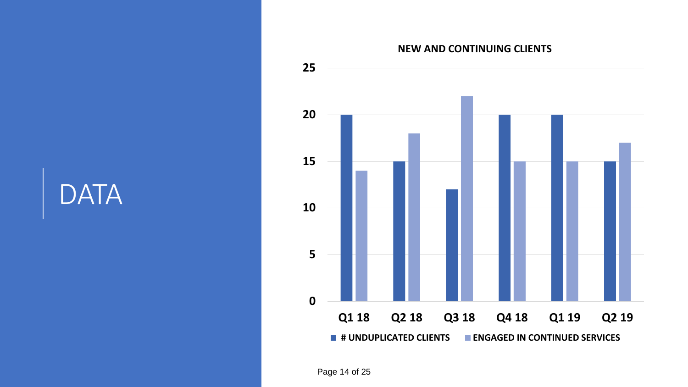## **DATA**

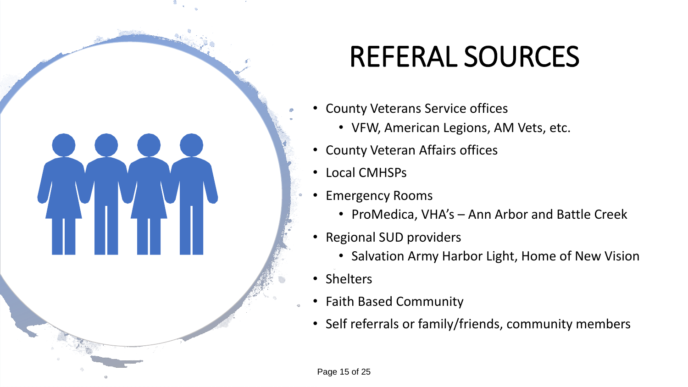# REFERAL SOURCES

- County Veterans Service offices
	- VFW, American Legions, AM Vets, etc.
- County Veteran Affairs offices
- Local CMHSPs
- Emergency Rooms
	- ProMedica, VHA's Ann Arbor and Battle Creek
- Regional SUD providers
	- Salvation Army Harbor Light, Home of New Vision
- Shelters
- Faith Based Community
- Self referrals or family/friends, community members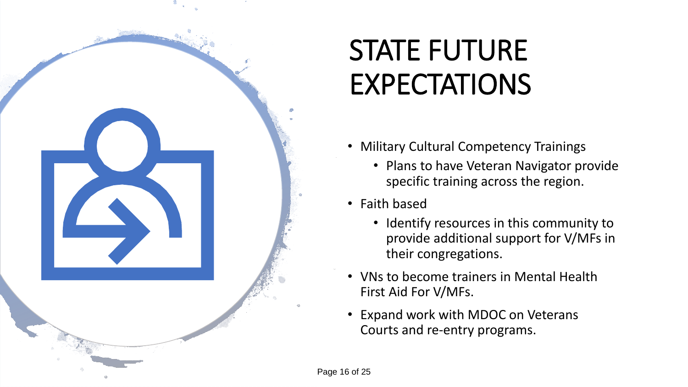

# STATE FUTURE EXPECTATIONS

- Military Cultural Competency Trainings
	- Plans to have Veteran Navigator provide specific training across the region.
- Faith based
	- Identify resources in this community to provide additional support for V/MFs in their congregations.
- VNs to become trainers in Mental Health First Aid For V/MFs.
- Expand work with MDOC on Veterans Courts and re-entry programs.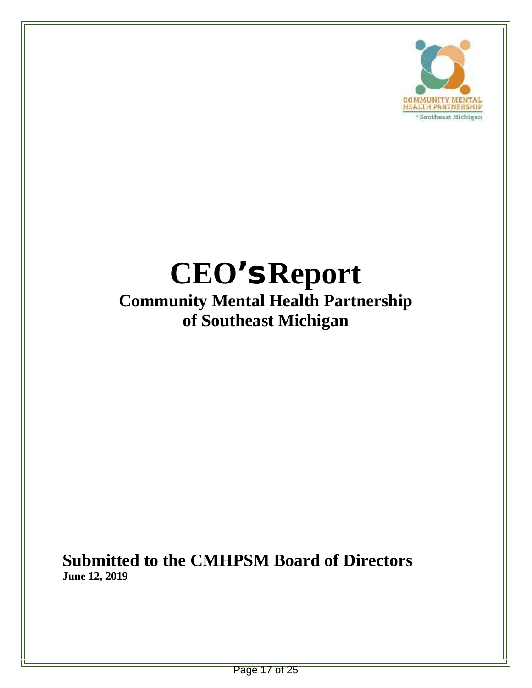

### **CEO's Report Community Mental Health Partnership of Southeast Michigan**

**Submitted to the CMHPSM Board of Directors June 12, 2019**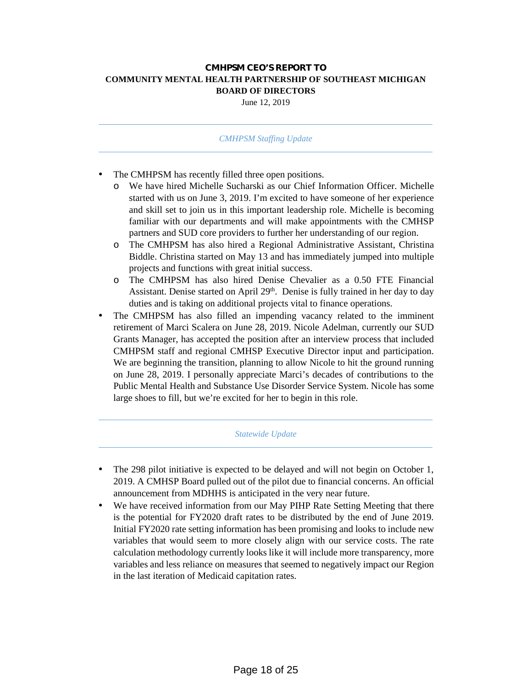#### **CMHPSM CEO'S REPORT TO COMMUNITY MENTAL HEALTH PARTNERSHIP OF SOUTHEAST MICHIGAN BOARD OF DIRECTORS**

June 12, 2019

#### *CMHPSM Staffing Update*

- The CMHPSM has recently filled three open positions.
	- o We have hired Michelle Sucharski as our Chief Information Officer. Michelle started with us on June 3, 2019. I'm excited to have someone of her experience and skill set to join us in this important leadership role. Michelle is becoming familiar with our departments and will make appointments with the CMHSP partners and SUD core providers to further her understanding of our region.
	- o The CMHPSM has also hired a Regional Administrative Assistant, Christina Biddle. Christina started on May 13 and has immediately jumped into multiple projects and functions with great initial success.
	- o The CMHPSM has also hired Denise Chevalier as a 0.50 FTE Financial Assistant. Denise started on April 29<sup>th</sup>. Denise is fully trained in her day to day duties and is taking on additional projects vital to finance operations.
- The CMHPSM has also filled an impending vacancy related to the imminent retirement of Marci Scalera on June 28, 2019. Nicole Adelman, currently our SUD Grants Manager, has accepted the position after an interview process that included CMHPSM staff and regional CMHSP Executive Director input and participation. We are beginning the transition, planning to allow Nicole to hit the ground running on June 28, 2019. I personally appreciate Marci's decades of contributions to the Public Mental Health and Substance Use Disorder Service System. Nicole has some large shoes to fill, but we're excited for her to begin in this role.

#### *Statewide Update*

- The 298 pilot initiative is expected to be delayed and will not begin on October 1, 2019. A CMHSP Board pulled out of the pilot due to financial concerns. An official announcement from MDHHS is anticipated in the very near future.
- We have received information from our May PIHP Rate Setting Meeting that there is the potential for FY2020 draft rates to be distributed by the end of June 2019. Initial FY2020 rate setting information has been promising and looks to include new variables that would seem to more closely align with our service costs. The rate calculation methodology currently looks like it will include more transparency, more variables and less reliance on measures that seemed to negatively impact our Region in the last iteration of Medicaid capitation rates.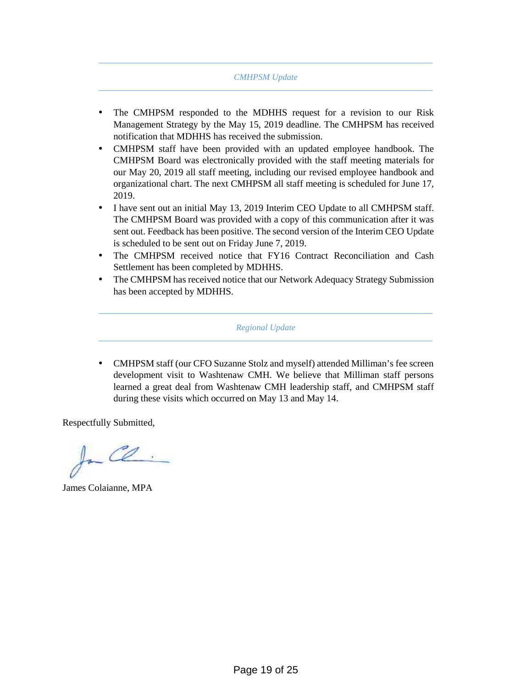#### *CMHPSM Update*

- The CMHPSM responded to the MDHHS request for a revision to our Risk Management Strategy by the May 15, 2019 deadline. The CMHPSM has received notification that MDHHS has received the submission.
- CMHPSM staff have been provided with an updated employee handbook. The CMHPSM Board was electronically provided with the staff meeting materials for our May 20, 2019 all staff meeting, including our revised employee handbook and organizational chart. The next CMHPSM all staff meeting is scheduled for June 17, 2019.
- I have sent out an initial May 13, 2019 Interim CEO Update to all CMHPSM staff. The CMHPSM Board was provided with a copy of this communication after it was sent out. Feedback has been positive. The second version of the Interim CEO Update is scheduled to be sent out on Friday June 7, 2019.
- The CMHPSM received notice that FY16 Contract Reconciliation and Cash Settlement has been completed by MDHHS.
- The CMHPSM has received notice that our Network Adequacy Strategy Submission has been accepted by MDHHS.

*Regional Update*

 CMHPSM staff (our CFO Suzanne Stolz and myself) attended Milliman's fee screen development visit to Washtenaw CMH. We believe that Milliman staff persons learned a great deal from Washtenaw CMH leadership staff, and CMHPSM staff during these visits which occurred on May 13 and May 14.

Respectfully Submitted,

In Cl

James Colaianne, MPA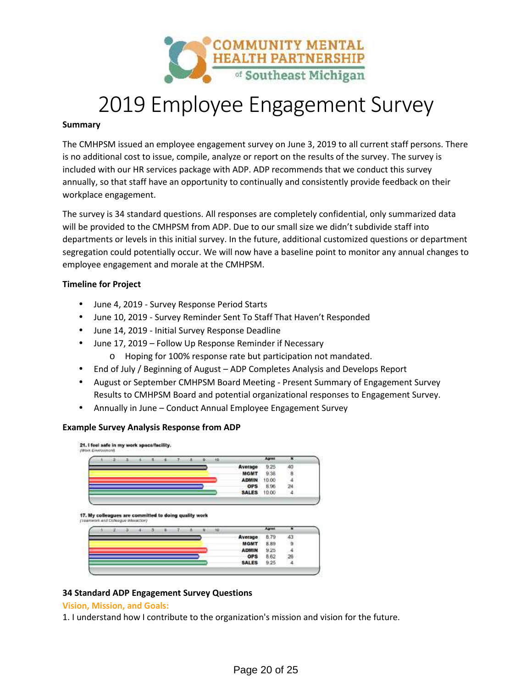

### 2019 Employee Engagement Survey

#### **Summary**

The CMHPSM issued an employee engagement survey on June 3, 2019 to all current staff persons. There is no additional cost to issue, compile, analyze or report on the results of the survey. The survey is included with our HR services package with ADP. ADP recommends that we conduct this survey annually, so that staff have an opportunity to continually and consistently provide feedback on their workplace engagement.

The survey is 34 standard questions. All responses are completely confidential, only summarized data will be provided to the CMHPSM from ADP. Due to our small size we didn't subdivide staff into departments or levels in this initial survey. In the future, additional customized questions or department segregation could potentially occur. We will now have a baseline point to monitor any annual changes to employee engagement and morale at the CMHPSM.

#### **Timeline for Project**

- June 4, 2019 Survey Response Period Starts
- June 10, 2019 Survey Reminder Sent To Staff That Haven't Responded
- June 14, 2019 Initial Survey Response Deadline
	- June 17, 2019 Follow Up Response Reminder if Necessary
	- o Hoping for 100% response rate but participation not mandated.
- End of July / Beginning of August ADP Completes Analysis and Develops Report
- August or September CMHPSM Board Meeting Present Summary of Engagement Survey Results to CMHPSM Board and potential organizational responses to Engagement Survey.
- Annually in June Conduct Annual Employee Engagement Survey

#### **Example Survey Analysis Response from ADP**

21. I feel safe in my work space/facility.

|  |  | ж | œ |  | <b>HEL</b> |              | Lanni |  |
|--|--|---|---|--|------------|--------------|-------|--|
|  |  |   |   |  |            | Average      | 9.25  |  |
|  |  |   |   |  |            | <b>MGMT</b>  | 9.38  |  |
|  |  |   |   |  |            | <b>ADMIN</b> | 10.00 |  |
|  |  |   |   |  |            | <b>OPS</b>   | 8.96  |  |
|  |  |   |   |  |            | <b>SALES</b> | 10.00 |  |

17. My colleagues are committed to doing quality work

|  |  |  |  |  |              | Address |    |
|--|--|--|--|--|--------------|---------|----|
|  |  |  |  |  | Average      | 8.79    | 43 |
|  |  |  |  |  | <b>MGMT</b>  | 8.89    | a  |
|  |  |  |  |  | <b>ADMIN</b> | 9.25    |    |
|  |  |  |  |  | <b>OPS</b>   | 8.62    | 26 |
|  |  |  |  |  | <b>SALES</b> | 9.25    |    |

#### **34 Standard ADP Engagement Survey Questions**

#### **Vision, Mission, and Goals:**

1. I understand how I contribute to the organization's mission and vision for the future.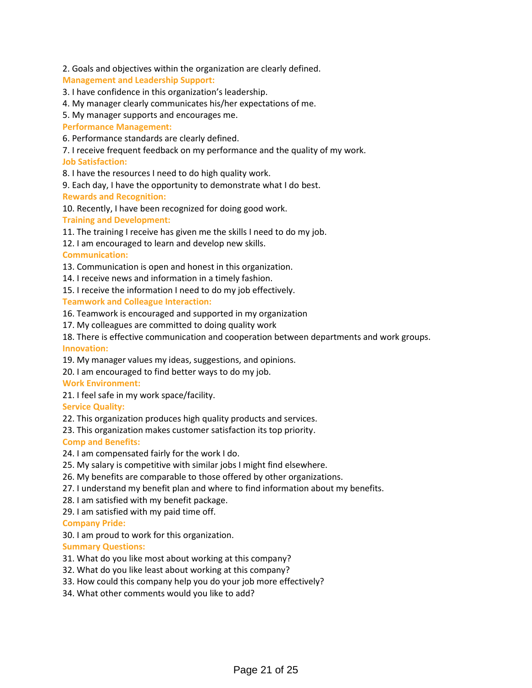2. Goals and objectives within the organization are clearly defined.

#### **Management and Leadership Support:**

- 3. I have confidence in this organization's leadership.
- 4. My manager clearly communicates his/her expectations of me.

5. My manager supports and encourages me.

**Performance Management:**

6. Performance standards are clearly defined.

7. I receive frequent feedback on my performance and the quality of my work. **Job Satisfaction:**

8. I have the resources I need to do high quality work.

9. Each day, I have the opportunity to demonstrate what I do best.

#### **Rewards and Recognition:**

10. Recently, I have been recognized for doing good work.

**Training and Development:**

- 11. The training I receive has given me the skills I need to do my job.
- 12. I am encouraged to learn and develop new skills.

#### **Communication:**

- 13. Communication is open and honest in this organization.
- 14. I receive news and information in a timely fashion.
- 15. I receive the information I need to do my job effectively.

#### **Teamwork and Colleague Interaction:**

- 16. Teamwork is encouraged and supported in my organization
- 17. My colleagues are committed to doing quality work
- 18. There is effective communication and cooperation between departments and work groups. **Innovation:**
- 19. My manager values my ideas, suggestions, and opinions.
- 20. I am encouraged to find better ways to do my job.

#### **Work Environment:**

21. I feel safe in my work space/facility.

#### **Service Quality:**

22. This organization produces high quality products and services.

23. This organization makes customer satisfaction its top priority.

#### **Comp and Benefits:**

- 24. I am compensated fairly for the work I do.
- 25. My salary is competitive with similar jobs I might find elsewhere.
- 26. My benefits are comparable to those offered by other organizations.
- 27. I understand my benefit plan and where to find information about my benefits.
- 28. I am satisfied with my benefit package.
- 29. I am satisfied with my paid time off.

#### **Company Pride:**

30. I am proud to work for this organization.

#### **Summary Questions:**

- 31. What do you like most about working at this company?
- 32. What do you like least about working at this company?
- 33. How could this company help you do your job more effectively?
- 34. What other comments would you like to add?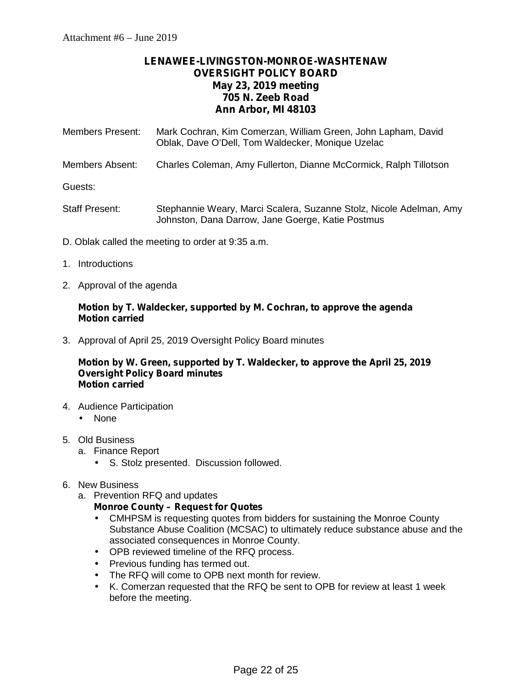### **LENAWEE-LIVINGSTON-MONROE-WASHTENAW OVERSIGHT POLICY BOARD May 23, 2019 meeting 705 N. Zeeb Road Ann Arbor, MI 48103**

| Members Present: | Mark Cochran, Kim Comerzan, William Green, John Lapham, David<br>Oblak, Dave O'Dell, Tom Waldecker, Monique Uzelac       |
|------------------|--------------------------------------------------------------------------------------------------------------------------|
| Members Absent:  | Charles Coleman, Amy Fullerton, Dianne McCormick, Ralph Tillotson                                                        |
| Guests:          |                                                                                                                          |
| Staff Present:   | Stephannie Weary, Marci Scalera, Suzanne Stolz, Nicole Adelman, Amy<br>Johnston, Dana Darrow, Jane Goerge, Katie Postmus |

- D. Oblak called the meeting to order at 9:35 a.m.
- 1. Introductions
- 2. Approval of the agenda

#### **Motion by T. Waldecker, supported by M. Cochran, to approve the agenda Motion carried**

3. Approval of April 25, 2019 Oversight Policy Board minutes

#### **Motion by W. Green, supported by T. Waldecker, to approve the April 25, 2019 Oversight Policy Board minutes Motion carried**

- 4. Audience Participation None
- 5. Old Business
	- a. Finance Report
		- S. Stolz presented. Discussion followed.
- 6. New Business
	- a. Prevention RFQ and updates

#### **Monroe County – Request for Quotes**

- CMHPSM is requesting quotes from bidders for sustaining the Monroe County Substance Abuse Coalition (MCSAC) to ultimately reduce substance abuse and the associated consequences in Monroe County.
- OPB reviewed timeline of the RFQ process.
- $\hat{U}$  Previous funding has termed out.
- $\hat{I}$  The RFQ will come to OPB next month for review.
- K. Comerzan requested that the RFQ be sent to OPB for review at least 1 week before the meeting.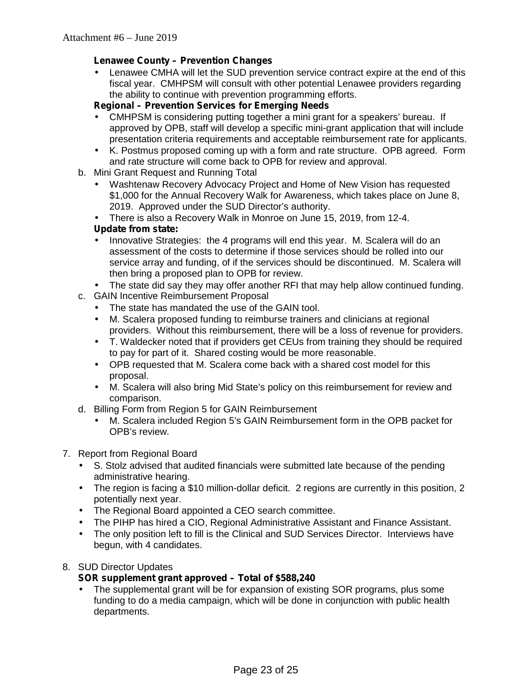#### **Lenawee County – Prevention Changes**

 Lenawee CMHA will let the SUD prevention service contract expire at the end of this fiscal year. CMHPSM will consult with other potential Lenawee providers regarding the ability to continue with prevention programming efforts.

#### **Regional – Prevention Services for Emerging Needs**

- CMHPSM is considering putting together a mini grant for a speakers' bureau. If approved by OPB, staff will develop a specific mini-grant application that will include presentation criteria requirements and acceptable reimbursement rate for applicants.
- K. Postmus proposed coming up with a form and rate structure. OPB agreed. Form and rate structure will come back to OPB for review and approval.
- b. Mini Grant Request and Running Total
	- Washtenaw Recovery Advocacy Project and Home of New Vision has requested \$1,000 for the Annual Recovery Walk for Awareness, which takes place on June 8, 2019. Approved under the SUD Director's authority.
	- There is also a Recovery Walk in Monroe on June 15, 2019, from 12-4.

#### **Update from state:**

 Innovative Strategies: the 4 programs will end this year. M. Scalera will do an assessment of the costs to determine if those services should be rolled into our service array and funding, of if the services should be discontinued. M. Scalera will then bring a proposed plan to OPB for review.

The state did say they may offer another RFI that may help allow continued funding.

- c. GAIN Incentive Reimbursement Proposal
	- The state has mandated the use of the GAIN tool.
	- M. Scalera proposed funding to reimburse trainers and clinicians at regional providers. Without this reimbursement, there will be a loss of revenue for providers.
	-
	- T. Waldecker noted that if providers get CEUs from training they should be required to pay for part of it. Shared costing would be more reasonable.
	- OPB requested that M. Scalera come back with a shared cost model for this proposal.
	- M. Scalera will also bring Mid State's policy on this reimbursement for review and comparison.
- d. Billing Form from Region 5 for GAIN Reimbursement
	- M. Scalera included Region 5's GAIN Reimbursement form in the OPB packet for OPB's review.

#### 7. Report from Regional Board

- S. Stolz advised that audited financials were submitted late because of the pending administrative hearing.
- The region is facing a \$10 million-dollar deficit. 2 regions are currently in this position, 2 potentially next year.
- The Regional Board appointed a CEO search committee.
- The PIHP has hired a CIO, Regional Administrative Assistant and Finance Assistant.
- The only position left to fill is the Clinical and SUD Services Director. Interviews have begun, with 4 candidates.

#### 8. SUD Director Updates

### **SOR supplement grant approved – Total of \$588,240**

 The supplemental grant will be for expansion of existing SOR programs, plus some funding to do a media campaign, which will be done in conjunction with public health departments.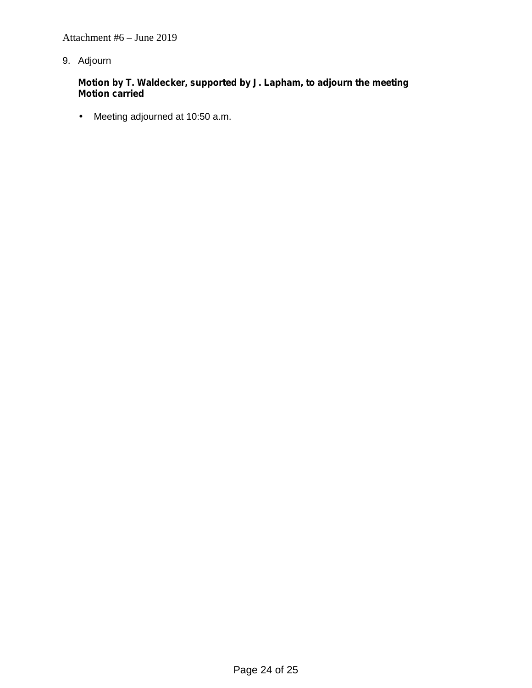Attachment #6 – June 2019

9. Adjourn

**Motion by T. Waldecker, supported by J. Lapham, to adjourn the meeting Motion carried**

Meeting adjourned at 10:50 a.m.